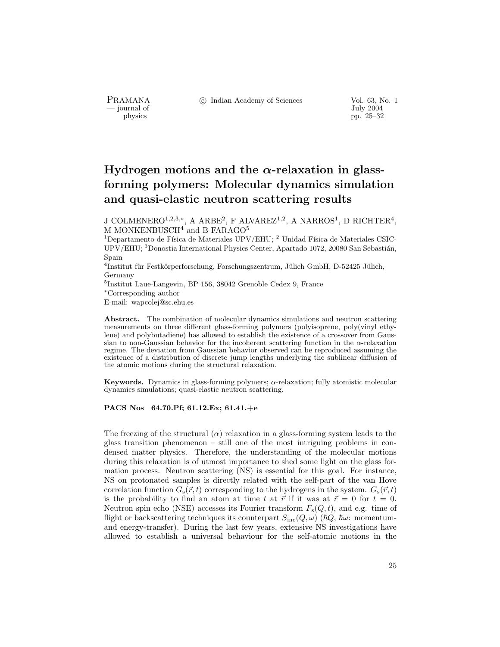- journal of<br>physics

PRAMANA °c Indian Academy of Sciences Vol. 63, No. 1 pp. 25–32

# Hydrogen motions and the  $\alpha$ -relaxation in glassforming polymers: Molecular dynamics simulation and quasi-elastic neutron scattering results

J COLMENERO<sup>1,2,3,\*</sup>, A ARBE<sup>2</sup>, F ALVAREZ<sup>1,2</sup>, A NARROS<sup>1</sup>, D RICHTER<sup>4</sup>, M MONKENBUSCH<sup>4</sup> and B FARAGO<sup>5</sup>

<sup>1</sup>Departamento de Física de Materiales UPV/EHU; <sup>2</sup> Unidad Física de Materiales CSIC-UPV/EHU; <sup>3</sup>Donostia International Physics Center, Apartado 1072, 20080 San Sebastián, Spain

 $^{4}$ Institut für Festkörperforschung, Forschungszentrum, Jülich GmbH, D-52425 Jülich, Germany

<sup>5</sup>Institut Laue-Langevin, BP 156, 38042 Grenoble Cedex 9, France

<sup>∗</sup>Corresponding author

E-mail: wapcolej@sc.ehu.es

Abstract. The combination of molecular dynamics simulations and neutron scattering measurements on three different glass-forming polymers (polyisoprene, poly(vinyl ethylene) and polybutadiene) has allowed to establish the existence of a crossover from Gaussian to non-Gaussian behavior for the incoherent scattering function in the  $\alpha$ -relaxation regime. The deviation from Gaussian behavior observed can be reproduced assuming the existence of a distribution of discrete jump lengths underlying the sublinear diffusion of the atomic motions during the structural relaxation.

Keywords. Dynamics in glass-forming polymers;  $\alpha$ -relaxation; fully atomistic molecular dynamics simulations; quasi-elastic neutron scattering.

## PACS Nos 64.70.Pf; 61.12.Ex; 61.41.+e

The freezing of the structural  $(\alpha)$  relaxation in a glass-forming system leads to the glass transition phenomenon – still one of the most intriguing problems in condensed matter physics. Therefore, the understanding of the molecular motions during this relaxation is of utmost importance to shed some light on the glass formation process. Neutron scattering (NS) is essential for this goal. For instance, NS on protonated samples is directly related with the self-part of the van Hove correlation function  $G_s(\vec{r}, t)$  corresponding to the hydrogens in the system.  $G_s(\vec{r}, t)$ is the probability to find an atom at time t at  $\vec{r}$  if it was at  $\vec{r} = 0$  for  $t = 0$ . Neutron spin echo (NSE) accesses its Fourier transform  $F_s(Q, t)$ , and e.g. time of flight or backscattering techniques its counterpart  $S_{\text{inc}}(Q, \omega)$  ( $\hbar Q$ ,  $\hbar \omega$ : momentumand energy-transfer). During the last few years, extensive NS investigations have allowed to establish a universal behaviour for the self-atomic motions in the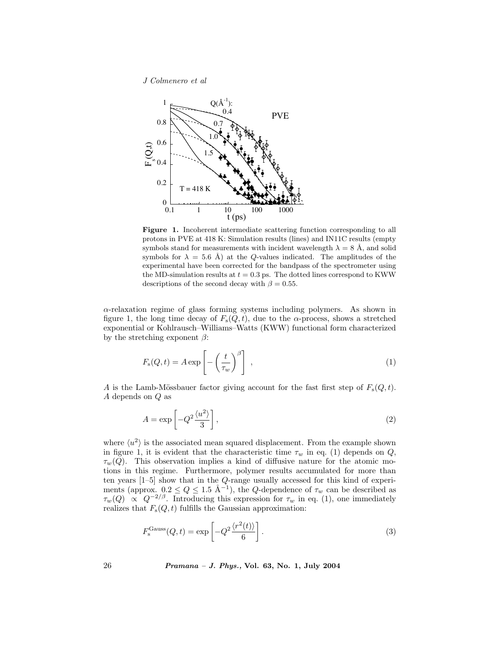J Colmenero et al



Figure 1. Incoherent intermediate scattering function corresponding to all protons in PVE at 418 K: Simulation results (lines) and IN11C results (empty symbols stand for measurements with incident wavelength  $\lambda = 8 \text{ Å}$ , and solid symbols for  $\lambda = 5.6 \text{ Å}$ ) at the Q-values indicated. The amplitudes of the experimental have been corrected for the bandpass of the spectrometer using the MD-simulation results at  $t = 0.3$  ps. The dotted lines correspond to KWW descriptions of the second decay with  $\beta = 0.55$ .

α-relaxation regime of glass forming systems including polymers. As shown in figure 1, the long time decay of  $F_s(Q, t)$ , due to the  $\alpha$ -process, shows a stretched exponential or Kohlrausch–Williams–Watts (KWW) functional form characterized by the stretching exponent  $\beta$ :

$$
F_{\rm s}(Q,t) = A \exp\left[-\left(\frac{t}{\tau_w}\right)^{\beta}\right] \,,\tag{1}
$$

A is the Lamb-Mössbauer factor giving account for the fast first step of  $F_s(Q, t)$ . A depends on Q as

$$
A = \exp\left[-Q^2 \frac{\langle u^2 \rangle}{3}\right],\tag{2}
$$

where  $\langle u^2 \rangle$  is the associated mean squared displacement. From the example shown in figure 1, it is evident that the characteristic time  $\tau_w$  in eq. (1) depends on Q,  $\tau_w(Q)$ . This observation implies a kind of diffusive nature for the atomic motions in this regime. Furthermore, polymer results accumulated for more than ten years [1–5] show that in the Q-range usually accessed for this kind of experiments (approx.  $0.2 \le Q \le 1.5 \text{ Å}^{-1}$ ), the Q-dependence of  $\tau_w$  can be described as  $\tau_w(Q) \propto Q^{-2/\beta}$ . Introducing this expression for  $\tau_w$  in eq. (1), one immediately realizes that  $F_s(Q, t)$  fulfills the Gaussian approximation:

$$
F_{\rm s}^{\rm Gauss}(Q,t) = \exp\left[-Q^2 \frac{\langle r^2(t)\rangle}{6}\right].\tag{3}
$$

26 Pramana – J. Phys., Vol. 63, No. 1, July 2004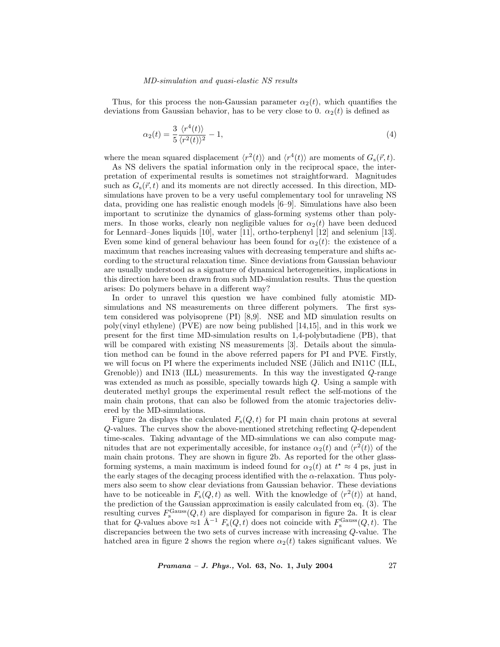#### MD-simulation and quasi-elastic NS results

Thus, for this process the non-Gaussian parameter  $\alpha_2(t)$ , which quantifies the deviations from Gaussian behavior, has to be very close to 0.  $\alpha_2(t)$  is defined as

$$
\alpha_2(t) = \frac{3}{5} \frac{\langle r^4(t) \rangle}{\langle r^2(t) \rangle^2} - 1,\tag{4}
$$

where the mean squared displacement  $\langle r^2(t)\rangle$  and  $\langle r^4(t)\rangle$  are moments of  $G_s(\vec{r}, t)$ .

As NS delivers the spatial information only in the reciprocal space, the interpretation of experimental results is sometimes not straightforward. Magnitudes such as  $G_s(\vec{r}, t)$  and its moments are not directly accessed. In this direction, MDsimulations have proven to be a very useful complementary tool for unraveling NS data, providing one has realistic enough models [6–9]. Simulations have also been important to scrutinize the dynamics of glass-forming systems other than polymers. In those works, clearly non negligible values for  $\alpha_2(t)$  have been deduced for Lennard–Jones liquids [10], water [11], ortho-terphenyl [12] and selenium [13]. Even some kind of general behaviour has been found for  $\alpha_2(t)$ : the existence of a maximum that reaches increasing values with decreasing temperature and shifts according to the structural relaxation time. Since deviations from Gaussian behaviour are usually understood as a signature of dynamical heterogeneities, implications in this direction have been drawn from such MD-simulation results. Thus the question arises: Do polymers behave in a different way?

In order to unravel this question we have combined fully atomistic MDsimulations and NS measurements on three different polymers. The first system considered was polyisoprene (PI) [8,9]. NSE and MD simulation results on poly(vinyl ethylene) (PVE) are now being published [14,15], and in this work we present for the first time MD-simulation results on 1,4-polybutadiene (PB), that will be compared with existing NS measurements [3]. Details about the simulation method can be found in the above referred papers for PI and PVE. Firstly, we will focus on PI where the experiments included NSE (Jülich and IN11C (ILL, Grenoble)) and IN13 (ILL) measurements. In this way the investigated Q-range was extended as much as possible, specially towards high Q. Using a sample with deuterated methyl groups the experimental result reflect the self-motions of the main chain protons, that can also be followed from the atomic trajectories delivered by the MD-simulations.

Figure 2a displays the calculated  $F_s(Q, t)$  for PI main chain protons at several Q-values. The curves show the above-mentioned stretching reflecting Q-dependent time-scales. Taking advantage of the MD-simulations we can also compute magnitudes that are not experimentally accessible, for instance  $\alpha_2(t)$  and  $\langle r^2(t) \rangle$  of the main chain protons. They are shown in figure 2b. As reported for the other glassforming systems, a main maximum is indeed found for  $\alpha_2(t)$  at  $t^* \approx 4$  ps, just in the early stages of the decaging process identified with the  $\alpha$ -relaxation. Thus polymers also seem to show clear deviations from Gaussian behavior. These deviations have to be noticeable in  $F_s(Q, t)$  as well. With the knowledge of  $\langle r^2(t) \rangle$  at hand, the prediction of the Gaussian approximation is easily calculated from eq. (3). The resulting curves  $F_s^{\text{Gauss}}(Q, t)$  are displayed for comparison in figure 2a. It is clear that for Q-values above  $\approx 1$  Å<sup>-1</sup>  $F_s(Q, t)$  does not coincide with  $F_s^{\text{Gauss}}(Q, t)$ . The discrepancies between the two sets of curves increase with increasing Q-value. The hatched area in figure 2 shows the region where  $\alpha_2(t)$  takes significant values. We

Pramana – J. Phys., Vol. 63, No. 1, July 2004 27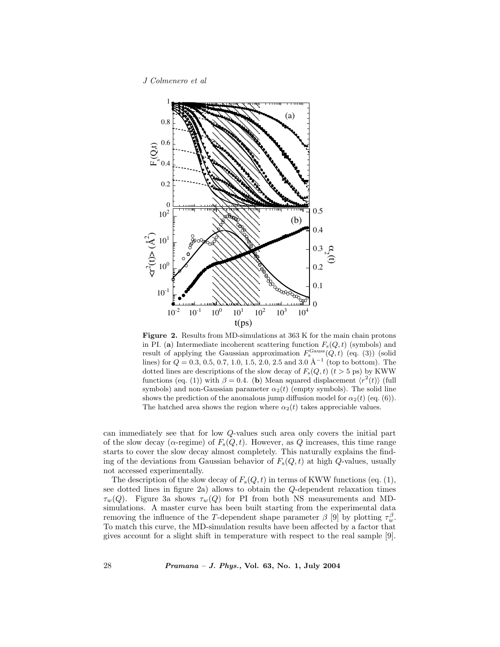J Colmenero et al



Figure 2. Results from MD-simulations at 363 K for the main chain protons in PI. (a) Intermediate incoherent scattering function  $F_s(Q, t)$  (symbols) and result of applying the Gaussian approximation  $F_s^{\text{Gauss}}(Q, t)$  (eq. (3)) (solid lines) for  $Q = 0.3, 0.5, 0.7, 1.0, 1.5, 2.0, 2.5$  and  $3.0 \text{ Å}^{-1}$  (top to bottom). The dotted lines are descriptions of the slow decay of  $F_s(Q, t)$  ( $t > 5$  ps) by KWW functions (eq. (1)) with  $\beta = 0.4$ . (b) Mean squared displacement  $\langle r^2(t) \rangle$  (full symbols) and non-Gaussian parameter  $\alpha_2(t)$  (empty symbols). The solid line shows the prediction of the anomalous jump diffusion model for  $\alpha_2(t)$  (eq. (6)). The hatched area shows the region where  $\alpha_2(t)$  takes appreciable values.

can immediately see that for low Q-values such area only covers the initial part of the slow decay ( $\alpha$ -regime) of  $F_s(Q, t)$ . However, as Q increases, this time range starts to cover the slow decay almost completely. This naturally explains the finding of the deviations from Gaussian behavior of  $F_s(Q, t)$  at high Q-values, usually not accessed experimentally.

The description of the slow decay of  $F_s(Q, t)$  in terms of KWW functions (eq. (1), see dotted lines in figure 2a) allows to obtain the Q-dependent relaxation times  $\tau_w(Q)$ . Figure 3a shows  $\tau_w(Q)$  for PI from both NS measurements and MDsimulations. A master curve has been built starting from the experimental data removing the influence of the T-dependent shape parameter  $\beta$  [9] by plotting  $\tau_w^{\beta}$ . To match this curve, the MD-simulation results have been affected by a factor that gives account for a slight shift in temperature with respect to the real sample [9].

28 Pramana – J. Phys., Vol. 63, No. 1, July 2004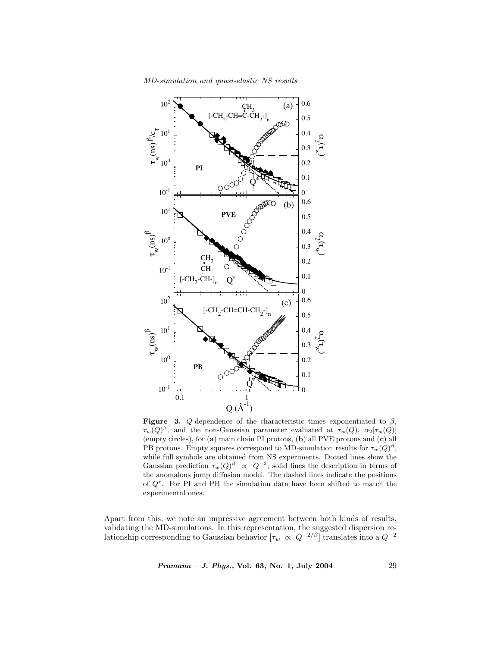

MD-simulation and quasi-elastic NS results

**Figure** 3. Q-dependence of the characteristic times exponentiated to  $\beta$ ,  $\tau_w(Q)^\beta$ , and the non-Gaussian parameter evaluated at  $\tau_w(Q)$ ,  $\alpha_2[\tau_w(Q)]$ (empty circles), for (a) main chain PI protons, (b) all PVE protons and (c) all PB protons. Empty squares correspond to MD-simulation results for  $\tau_w(Q)^{\beta}$ , while full symbols are obtained from NS experiments. Dotted lines show the Gaussian prediction  $\tau_w(Q)^{\beta} \propto Q^{-2}$ ; solid lines the description in terms of the anomalous jump diffusion model. The dashed lines indicate the positions of  $Q^*$ . For PI and PB the simulation data have been shifted to match the experimental ones.

Apart from this, we note an impressive agreement between both kinds of results, validating the MD-simulations. In this representation, the suggested dispersion relationship corresponding to Gaussian behavior  $[\tau_w \propto Q^{-2/\beta}]$  translates into a  $Q^{-2}$ 

Pramana – J. Phys., Vol. 63, No. 1, July 2004 29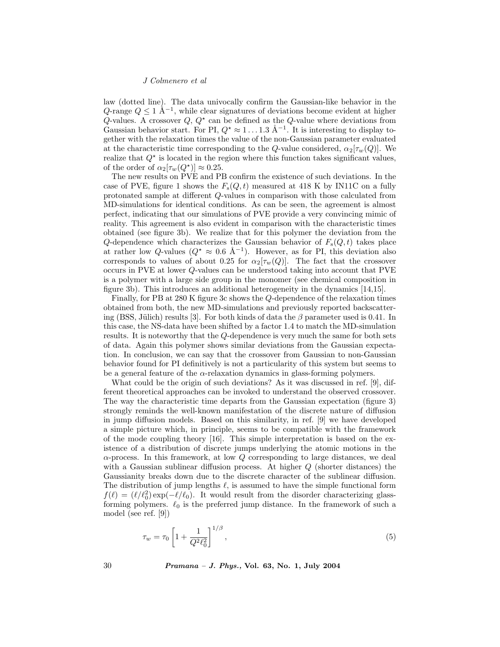#### J Colmenero et al

law (dotted line). The data univocally confirm the Gaussian-like behavior in the Q-range  $Q \leq 1$  Å<sup>-1</sup>, while clear signatures of deviations become evident at higher Q-values. A crossover  $Q, Q^*$  can be defined as the Q-value where deviations from Gaussian behavior start. For PI,  $Q^* \approx 1 \dots 1.3 \text{ Å}^{-1}$ . It is interesting to display together with the relaxation times the value of the non-Gaussian parameter evaluated at the characteristic time corresponding to the Q-value considered,  $\alpha_2[\tau_w(Q)]$ . We realize that  $Q^*$  is located in the region where this function takes significant values, of the order of  $\alpha_2[\tau_w(Q^{\star})] \approx 0.25$ .

The new results on PVE and PB confirm the existence of such deviations. In the case of PVE, figure 1 shows the  $F_s(Q, t)$  measured at 418 K by IN11C on a fully protonated sample at different Q-values in comparison with those calculated from MD-simulations for identical conditions. As can be seen, the agreement is almost perfect, indicating that our simulations of PVE provide a very convincing mimic of reality. This agreement is also evident in comparison with the characteristic times obtained (see figure 3b). We realize that for this polymer the deviation from the Q-dependence which characterizes the Gaussian behavior of  $F_s(Q, t)$  takes place at rather low Q-values ( $Q^* \approx 0.6 \text{ Å}^{-1}$ ). However, as for PI, this deviation also corresponds to values of about 0.25 for  $\alpha_2[\tau_w(Q)]$ . The fact that the crossover occurs in PVE at lower Q-values can be understood taking into account that PVE is a polymer with a large side group in the monomer (see chemical composition in figure 3b). This introduces an additional heterogeneity in the dynamics [14,15].

Finally, for PB at 280 K figure 3c shows the Q-dependence of the relaxation times obtained from both, the new MD-simulations and previously reported backscattering (BSS, Jülich) results [3]. For both kinds of data the β parameter used is 0.41. In this case, the NS-data have been shifted by a factor 1.4 to match the MD-simulation results. It is noteworthy that the Q-dependence is very much the same for both sets of data. Again this polymer shows similar deviations from the Gaussian expectation. In conclusion, we can say that the crossover from Gaussian to non-Gaussian behavior found for PI definitively is not a particularity of this system but seems to be a general feature of the  $\alpha$ -relaxation dynamics in glass-forming polymers.

What could be the origin of such deviations? As it was discussed in ref. [9], different theoretical approaches can be invoked to understand the observed crossover. The way the characteristic time departs from the Gaussian expectation (figure 3) strongly reminds the well-known manifestation of the discrete nature of diffusion in jump diffusion models. Based on this similarity, in ref. [9] we have developed a simple picture which, in principle, seems to be compatible with the framework of the mode coupling theory [16]. This simple interpretation is based on the existence of a distribution of discrete jumps underlying the atomic motions in the  $\alpha$ -process. In this framework, at low Q corresponding to large distances, we deal with a Gaussian sublinear diffusion process. At higher  $Q$  (shorter distances) the Gaussianity breaks down due to the discrete character of the sublinear diffusion. The distribution of jump lengths  $\ell$ , is assumed to have the simple functional form  $f(\ell) = (\ell/\ell_0^2) \exp(-\ell/\ell_0)$ . It would result from the disorder characterizing glassforming polymers.  $\ell_0$  is the preferred jump distance. In the framework of such a model (see ref. [9])

$$
\tau_w = \tau_0 \left[ 1 + \frac{1}{Q^2 \ell_0^2} \right]^{1/\beta},\tag{5}
$$

30 Pramana – J. Phys., Vol. 63, No. 1, July 2004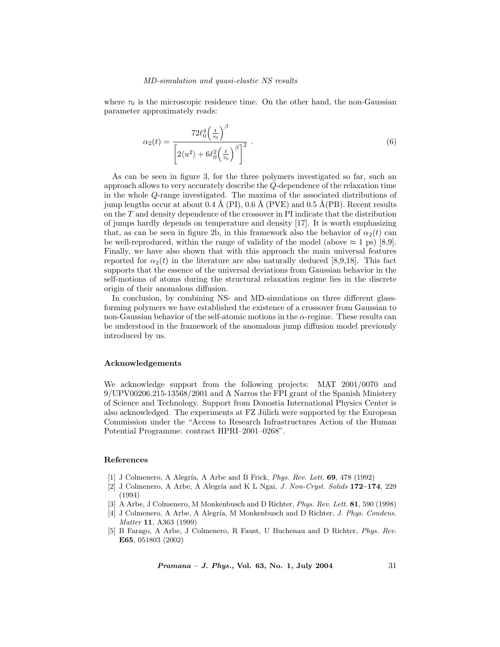where  $\tau_0$  is the microscopic residence time. On the other hand, the non-Gaussian parameter approximately reads:

$$
\alpha_2(t) = \frac{72\ell_0^4 \left(\frac{t}{\tau_0}\right)^{\beta}}{\left[2\langle u^2 \rangle + 6\ell_0^2 \left(\frac{t}{\tau_0}\right)^{\beta}\right]^2} \tag{6}
$$

As can be seen in figure 3, for the three polymers investigated so far, such an approach allows to very accurately describe the Q-dependence of the relaxation time in the whole Q-range investigated. The maxima of the associated distributions of jump lengths occur at about  $0.4 \text{ Å}$  (PI),  $0.6 \text{ Å}$  (PVE) and  $0.5 \text{ Å}$ (PB). Recent results on the T and density dependence of the crossover in PI indicate that the distribution of jumps hardly depends on temperature and density [17]. It is worth emphasizing that, as can be seen in figure 2b, in this framework also the behavior of  $\alpha_2(t)$  can be well-reproduced, within the range of validity of the model (above  $\approx 1$  ps) [8,9]. Finally, we have also shown that with this approach the main universal features reported for  $\alpha_2(t)$  in the literature are also naturally deduced [8,9,18]. This fact supports that the essence of the universal deviations from Gaussian behavior in the self-motions of atoms during the structural relaxation regime lies in the discrete origin of their anomalous diffusion.

In conclusion, by combining NS- and MD-simulations on three different glassforming polymers we have established the existence of a crossover from Gaussian to non-Gaussian behavior of the self-atomic motions in the  $\alpha$ -regime. These results can be understood in the framework of the anomalous jump diffusion model previously introduced by us.

### Acknowledgements

We acknowledge support from the following projects: MAT 2001/0070 and 9/UPV00206.215-13568/2001 and A Narros the FPI grant of the Spanish Ministery of Science and Technology. Support from Donostia International Physics Center is also acknowledged. The experiments at  $FZ$  Jülich were supported by the European Commission under the "Access to Research Infrastructures Action of the Human Potential Programme: contract HPRI–2001–0268".

## References

- [1] J Colmenero, A Alegría, A Arbe and B Frick, *Phys. Rev. Lett.* **69**, 478 (1992)
- [2] J Colmenero, A Arbe, A Alegría and K L Ngai, J. Non-Cryst. Solids  $172-174$ , 229 (1994)
- [3] A Arbe, J Colmenero, M Monkenbusch and D Richter, *Phys. Rev. Lett.* **81**, 590 (1998)
- [4] J Colmenero, A Arbe, A Alegría, M Monkenbusch and D Richter, J. Phys. Condens. Matter 11, A363 (1999)
- [5] B Farago, A Arbe, J Colmenero, R Faust, U Buchenau and D Richter, Phys. Rev. E65, 051803 (2002)

Pramana – J. Phys., Vol. 63, No. 1, July 2004 31